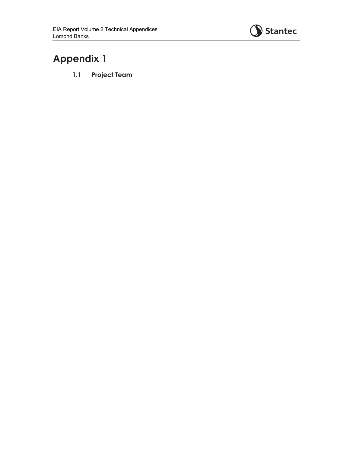

# **Appendix 1**

**1.1 Project Team**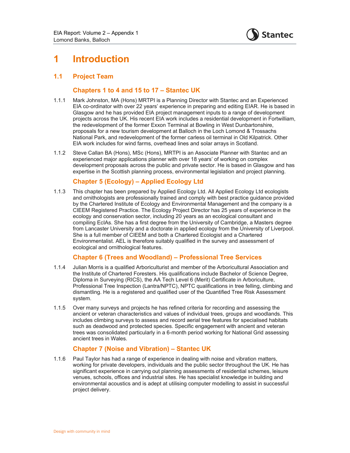

# **1 Introduction**

# **1.1 Project Team**

### **Chapters 1 to 4 and 15 to 17 – Stantec UK**

- 1.1.1 Mark Johnston, MA (Hons) MRTPI is a Planning Director with Stantec and an Experienced EIA co-ordinator with over 22 years' experience in preparing and editing EIAR. He is based in Glasgow and he has provided EIA project management inputs to a range of development projects across the UK. His recent EIA work includes a residential development in Fortwilliam, the redevelopment of the former Exxon Terminal at Bowling in West Dunbartonshire, proposals for a new tourism development at Balloch in the Loch Lomond & Trossachs National Park, and redevelopment of the former carless oil terminal in Old Kilpatrick. Other EIA work includes for wind farms, overhead lines and solar arrays in Scotland.
- 1.1.2 Steve Callan BA (Hons), MSc (Hons), MRTPI is an Associate Planner with Stantec and an experienced major applications planner with over 18 years' of working on complex development proposals across the public and private sector. He is based in Glasgow and has expertise in the Scottish planning process, environmental legislation and project planning.

# **Chapter 5 (Ecology) – Applied Ecology Ltd**

1.1.3 This chapter has been prepared by Applied Ecology Ltd. All Applied Ecology Ltd ecologists and ornithologists are professionally trained and comply with best practice guidance provided by the Chartered Institute of Ecology and Environmental Management and the company is a CIEEM Registered Practice. The Ecology Project Director has 25 years of experience in the ecology and conservation sector, including 20 years as an ecological consultant and compiling EcIAs. She has a first degree from the University of Cambridge, a Masters degree from Lancaster University and a doctorate in applied ecology from the University of Liverpool. She is a full member of CIEEM and both a Chartered Ecologist and a Chartered Environmentalist. AEL is therefore suitably qualified in the survey and assessment of ecological and ornithological features.

#### **Chapter 6 (Trees and Woodland) – Professional Tree Services**

- 1.1.4 Julian Morris is a qualified Arboriculturist and member of the Arboricultural Association and the Institute of Chartered Foresters. His qualifications include Bachelor of Science Degree, Diploma in Surveying (RICS), the AA Tech Level 6 (Merit) Certificate in Arboriculture, Professional Tree Inspection (Lantra/NPTC), NPTC qualifications in tree felling, climbing and dismantling. He is a registered and qualified user of the Quantified Tree Risk Assessment system.
- 1.1.5 Over many surveys and projects he has refined criteria for recording and assessing the ancient or veteran characteristics and values of individual trees, groups and woodlands. This includes climbing surveys to assess and record aerial tree features for specialised habitats such as deadwood and protected species. Specific engagement with ancient and veteran trees was consolidated particularly in a 6-month period working for National Grid assessing ancient trees in Wales.

#### **Chapter 7 (Noise and Vibration) – Stantec UK**

1.1.6 Paul Taylor has had a range of experience in dealing with noise and vibration matters, working for private developers, individuals and the public sector throughout the UK. He has significant experience in carrying out planning assessments of residential schemes, leisure venues, schools, offices and industrial sites. He has specialist knowledge in building and environmental acoustics and is adept at utilising computer modelling to assist in successful project delivery.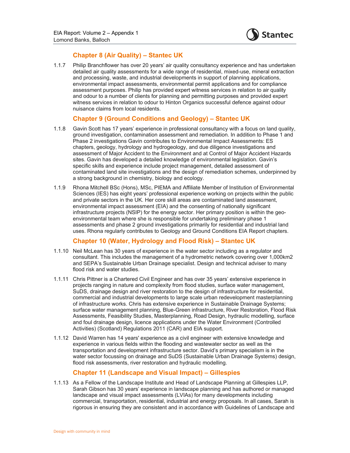

# **Chapter 8 (Air Quality) – Stantec UK**

1.1.7 Philip Branchflower has over 20 years' air quality consultancy experience and has undertaken detailed air quality assessments for a wide range of residential, mixed-use, mineral extraction and processing, waste, and industrial developments in support of planning applications, environmental impact assessments, environmental permit applications and for compliance assessment purposes. Philip has provided expert witness services in relation to air quality and odour to a number of clients for planning and permitting purposes and provided expert witness services in relation to odour to Hinton Organics successful defence against odour nuisance claims from local residents.

# **Chapter 9 (Ground Conditions and Geology) – Stantec UK**

- 1.1.8 Gavin Scott has 17 years' experience in professional consultancy with a focus on land quality, ground investigation, contamination assessment and remediation. In addition to Phase 1 and Phase 2 investigations Gavin contributes to Environmental Impact Assessments: ES chapters, geology, hydrology and hydrogeology, and due diligence investigations and assessment of Major Accident to the Environment and at Control of Major Accident Hazards sites. Gavin has developed a detailed knowledge of environmental legislation. Gavin's specific skills and experience include project management, detailed assessment of contaminated land site investigations and the design of remediation schemes, underpinned by a strong background in chemistry, biology and ecology.
- 1.1.9 Rhona Mitchell BSc (Hons), MSc, PIEMA and Affiliate Member of Institution of Environmental Sciences (IES) has eight years' professional experience working on projects within the public and private sectors in the UK. Her core skill areas are contaminated land assessment, environmental impact assessment (EIA) and the consenting of nationally significant infrastructure projects (NSIP) for the energy sector. Her primary position is within the geoenvironmental team where she is responsible for undertaking preliminary phase 1 assessments and phase 2 ground investigations primarily for residential and industrial land uses. Rhona regularly contributes to Geology and Ground Conditions EIA Report chapters.

# **Chapter 10 (Water, Hydrology and Flood Risk) – Stantec UK**

- 1.1.10 Neil McLean has 30 years of experience in the water sector including as a regulator and consultant. This includes the management of a hydrometric network covering over 1,000km2 and SEPA's Sustainable Urban Drainage specialist. Design and technical adviser to many flood risk and water studies.
- 1.1.11 Chris Pittner is a Chartered Civil Engineer and has over 35 years' extensive experience in projects ranging in nature and complexity from flood studies, surface water management, SuDS, drainage design and river restoration to the design of infrastructure for residential, commercial and industrial developments to large scale urban redevelopment masterplanning of infrastructure works. Chris has extensive experience in Sustainable Drainage Systems; surface water management planning, Blue-Green infrastructure, River Restoration, Flood Risk Assessments, Feasibility Studies, Masterplanning, Road Design, hydraulic modelling, surface and foul drainage design, licence applications under the Water Environment (Controlled Activities) (Scotland) Regulations 2011 (CAR) and EIA support.
- 1.1.12 David Warren has 14 years' experience as a civil engineer with extensive knowledge and experience in various fields within the flooding and wastewater sector as well as the transportation and development infrastructure sector. David's primary specialism is in the water sector focussing on drainage and SuDS (Sustainable Urban Drainage Systems) design, flood risk assessments, river restoration and hydraulic modelling.

# **Chapter 11 (Landscape and Visual Impact) – Gillespies**

1.1.13 As a Fellow of the Landscape Institute and Head of Landscape Planning at Gillespies LLP, Sarah Gibson has 30 years' experience in landscape planning and has authored or managed landscape and visual impact assessments (LVIAs) for many developments including commercial, transportation, residential, industrial and energy proposals. In all cases, Sarah is rigorous in ensuring they are consistent and in accordance with Guidelines of Landscape and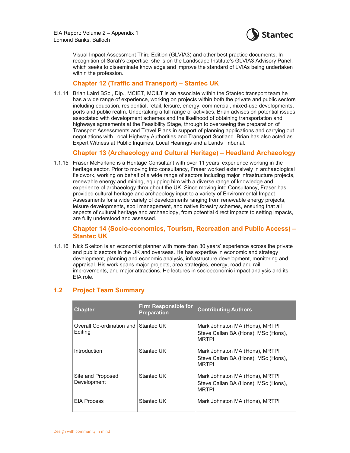

Visual Impact Assessment Third Edition (GLVIA3) and other best practice documents. In recognition of Sarah's expertise, she is on the Landscape Institute's GLVIA3 Advisory Panel, which seeks to disseminate knowledge and improve the standard of LVIAs being undertaken within the profession.

### **Chapter 12 (Traffic and Transport) – Stantec UK**

1.1.14 Brian Laird BSc., Dip., MCIET, MCILT is an associate within the Stantec transport team he has a wide range of experience, working on projects within both the private and public sectors including education, residential, retail, leisure, energy, commercial, mixed-use developments, ports and public realm. Undertaking a full range of activities, Brian advises on potential issues associated with development schemes and the likelihood of obtaining transportation and highways agreements at the Feasibility Stage, through to overseeing the preparation of Transport Assessments and Travel Plans in support of planning applications and carrying out negotiations with Local Highway Authorities and Transport Scotland. Brian has also acted as Expert Witness at Public Inquiries, Local Hearings and a Lands Tribunal.

#### **Chapter 13 (Archaeology and Cultural Heritage) – Headland Archaeology**

1.1.15 Fraser McFarlane is a Heritage Consultant with over 11 years' experience working in the heritage sector. Prior to moving into consultancy, Fraser worked extensively in archaeological fieldwork, working on behalf of a wide range of sectors including major infrastructure projects, renewable energy and mining, equipping him with a diverse range of knowledge and experience of archaeology throughout the UK. Since moving into Consultancy, Fraser has provided cultural heritage and archaeology input to a variety of Environmental Impact Assessments for a wide variety of developments ranging from renewable energy projects, leisure developments, spoil management, and native forestry schemes, ensuring that all aspects of cultural heritage and archaeology, from potential direct impacts to setting impacts, are fully understood and assessed.

# **Chapter 14 (Socio-economics, Tourism, Recreation and Public Access) – Stantec UK**

1.1.16 Nick Skelton is an economist planner with more than 30 years' experience across the private and public sectors in the UK and overseas. He has expertise in economic and strategy development, planning and economic analysis, infrastructure development, monitoring and appraisal. His work spans major projects, area strategies, energy, road and rail improvements, and major attractions. He lectures in socioeconomic impact analysis and its EIA role.

| <b>Chapter</b>                                  | Firm Responsible for<br><b>Preparation</b> | <b>Contributing Authors</b>                                                           |
|-------------------------------------------------|--------------------------------------------|---------------------------------------------------------------------------------------|
| Overall Co-ordination and Stantec UK<br>Editing |                                            | Mark Johnston MA (Hons), MRTPI<br>Steve Callan BA (Hons), MSc (Hons),<br><b>MRTPI</b> |
| Introduction                                    | Stantec UK                                 | Mark Johnston MA (Hons), MRTPI<br>Steve Callan BA (Hons), MSc (Hons),<br><b>MRTPI</b> |
| Site and Proposed<br>Development                | Stantec UK                                 | Mark Johnston MA (Hons), MRTPI<br>Steve Callan BA (Hons), MSc (Hons),<br><b>MRTPI</b> |
| <b>EIA Process</b>                              | Stantec UK                                 | Mark Johnston MA (Hons), MRTPI                                                        |

#### **1.2 Project Team Summary**